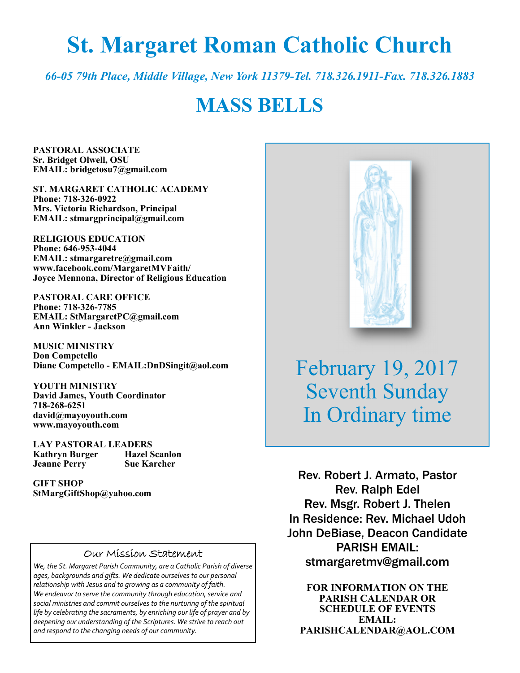# **St. Margaret Roman Catholic Church**

*66-05 79th Place, Middle Village, New York 11379-Tel. 718.326.1911-Fax. 718.326.1883* 

## **MASS BELLS**

**PASTORAL ASSOCIATE Sr. Bridget Olwell, OSU EMAIL: bridgetosu7@gmail.com** 

**ST. MARGARET CATHOLIC ACADEMY Phone: 718-326-0922 Mrs. Victoria Richardson, Principal EMAIL: stmargprincipal@gmail.com** 

**RELIGIOUS EDUCATION Phone: 646-953-4044 EMAIL: stmargaretre@gmail.com www.facebook.com/MargaretMVFaith/ Joyce Mennona, Director of Religious Education** 

**PASTORAL CARE OFFICE Phone: 718-326-7785 EMAIL: StMargaretPC@gmail.com Ann Winkler - Jackson** 

**MUSIC MINISTRY Don Competello Diane Competello - EMAIL:DnDSingit@aol.com** 

**YOUTH MINISTRY David James, Youth Coordinator 718-268-6251 david@mayoyouth.com www.mayoyouth.com** 

**LAY PASTORAL LEADERS Kathryn Burger Jeanne Perry Sue Karcher** 

**GIFT SHOP StMargGiftShop@yahoo.com**

#### Our Mission Statement

*We, the St. Margaret Parish Community, are a Catholic Parish of diverse ages, backgrounds and gifts. We dedicate ourselves to our personal relationship with Jesus and to growing as a community of faith. We endeavor to serve the community through education, service and social ministries and commit ourselves to the nurturing of the spiritual life by celebrating the sacraments, by enriching our life of prayer and by deepening our understanding of the Scriptures. We strive to reach out and respond to the changing needs of our community.*



February 19, 2017 Seventh Sunday In Ordinary time

Rev. Robert J. Armato, Pastor Rev. Ralph Edel Rev. Msgr. Robert J. Thelen In Residence: Rev. Michael Udoh John DeBiase, Deacon Candidate PARISH EMAIL: stmargaretmv@gmail.com

**FOR INFORMATION ON THE PARISH CALENDAR OR SCHEDULE OF EVENTS EMAIL: PARISHCALENDAR@AOL.COM**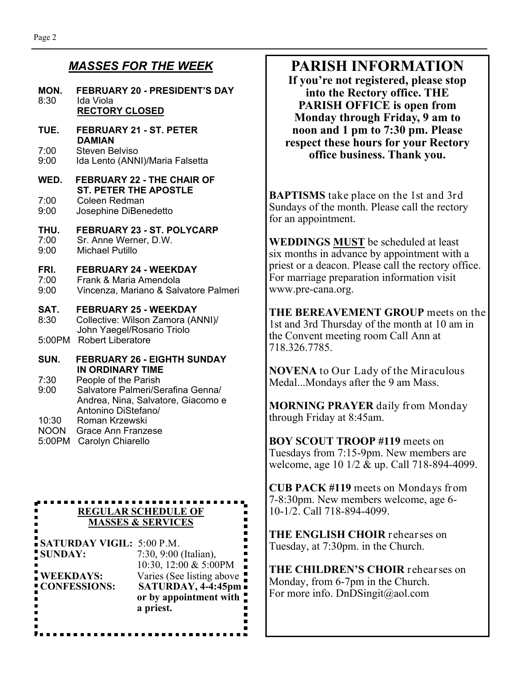### *MASSES FOR THE WEEK*

#### **MON. FEBRUARY 20 - PRESIDENT'S DAY**  8:30 Ida Viola **RECTORY CLOSED**

#### **TUE. FEBRUARY 21 - ST. PETER DAMIAN**

7:00 Steven Belviso<br>9:00 Ida Lento (ANN Ida Lento (ANNI)/Maria Falsetta

#### **WED. FEBRUARY 22 - THE CHAIR OF ST. PETER THE APOSTLE**  7:00 Coleen Redman

9:00 Josephine DiBenedetto

#### **THU. FEBRUARY 23 - ST. POLYCARP**

- 7:00 Sr. Anne Werner, D.W.<br>9:00 Michael Putillo
- Michael Putillo

#### **FRI. FEBRUARY 24 - WEEKDAY**

- 7:00 Frank & Maria Amendola
- 9:00 Vincenza, Mariano & Salvatore Palmeri

#### **SAT. FEBRUARY 25 - WEEKDAY**

8:30 Collective: Wilson Zamora (ANNI)/ John Yaegel/Rosario Triolo 5:00PM Robert Liberatore

**SUN. FEBRUARY 26 - EIGHTH SUNDAY IN ORDINARY TIME**<br>7:30 People of the Parish

People of the Parish

- 9:00 Salvatore Palmeri/Serafina Genna/ Andrea, Nina, Salvatore, Giacomo e Antonino DiStefano/ Roman Krzewski
- NOON Grace Ann Franzese

Ē

5:00PM Carolyn Chiarello

------------. . . . . . **REGULAR SCHEDULE OF MASSES & SERVICES** 

**SATURDAY VIGIL:** 5:00 P.M. **SUNDAY:** 7:30, 9:00 (Italian), 10:30, 12:00 & 5:00PM **WEEKDAYS:** Varies (See listing above **CONFESSIONS: SATURDAY, 4-4:45pm or by appointment with a priest.**

## **PARISH INFORMATION**

**If you're not registered, please stop into the Rectory office. THE PARISH OFFICE is open from Monday through Friday, 9 am to noon and 1 pm to 7:30 pm. Please respect these hours for your Rectory office business. Thank you.** 

**BAPTISMS** take place on the 1st and 3rd Sundays of the month. Please call the rectory for an appointment.

**WEDDINGS MUST** be scheduled at least six months in advance by appointment with a priest or a deacon. Please call the rectory office. For marriage preparation information visit www.pre-cana.org.

**THE BEREAVEMENT GROUP** meets on the 1st and 3rd Thursday of the month at 10 am in the Convent meeting room Call Ann at 718.326.7785.

**NOVENA** to Our Lady of the Miraculous Medal...Mondays after the 9 am Mass.

**MORNING PRAYER** daily from Monday through Friday at 8:45am.

**BOY SCOUT TROOP #119** meets on Tuesdays from 7:15-9pm. New members are welcome, age 10 1/2 & up. Call 718-894-4099.

**CUB PACK #119** meets on Mondays from 7-8:30pm. New members welcome, age 6- 10-1/2. Call 718-894-4099.

**THE ENGLISH CHOIR** rehearses on Tuesday, at 7:30pm. in the Church.

**THE CHILDREN'S CHOIR** rehearses on Monday, from 6-7pm in the Church. For more info. DnDSingit@aol.com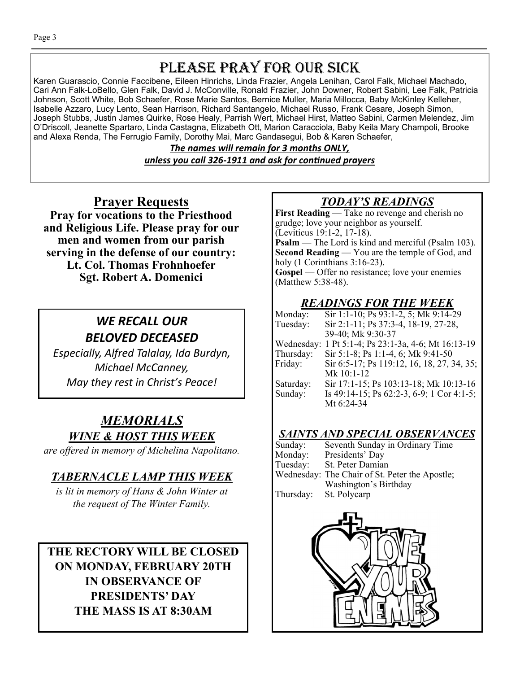## PLEASE PRAY FOR OUR SICK

Karen Guarascio, Connie Faccibene, Eileen Hinrichs, Linda Frazier, Angela Lenihan, Carol Falk, Michael Machado, Cari Ann Falk-LoBello, Glen Falk, David J. McConville, Ronald Frazier, John Downer, Robert Sabini, Lee Falk, Patricia Johnson, Scott White, Bob Schaefer, Rose Marie Santos, Bernice Muller, Maria Millocca, Baby McKinley Kelleher, Isabelle Azzaro, Lucy Lento, Sean Harrison, Richard Santangelo, Michael Russo, Frank Cesare, Joseph Simon, Joseph Stubbs, Justin James Quirke, Rose Healy, Parrish Wert, Michael Hirst, Matteo Sabini, Carmen Melendez, Jim O'Driscoll, Jeanette Spartaro, Linda Castagna, Elizabeth Ott, Marion Caracciola, Baby Keila Mary Champoli, Brooke and Alexa Renda, The Ferrugio Family, Dorothy Mai, Marc Gandasegui, Bob & Karen Schaefer,

> *The names will remain for 3 months ONLY, unless you call 326-1911 and ask for conƟnued prayers*

## **Prayer Requests**

**Pray for vocations to the Priesthood and Religious Life. Please pray for our men and women from our parish serving in the defense of our country: Lt. Col. Thomas Frohnhoefer Sgt. Robert A. Domenici** 

## *WE RECALL OUR BELOVED DECEASED*

*Especially, Alfred Talalay, Ida Burdyn, Michael McCanney, May they rest in Christ's Peace!* 

## *MEMORIALS WINE & HOST THIS WEEK*

*are offered in memory of Michelina Napolitano.* 

### *TABERNACLE LAMP THIS WEEK*

*is lit in memory of Hans & John Winter at the request of The Winter Family.* 

**THE RECTORY WILL BE CLOSED ON MONDAY, FEBRUARY 20TH IN OBSERVANCE OF PRESIDENTS' DAY THE MASS IS AT 8:30AM** 

## *TODAY'S READINGS*

**First Reading** — Take no revenge and cherish no grudge; love your neighbor as yourself. (Leviticus 19:1-2, 17-18). **Psalm** — The Lord is kind and merciful (Psalm 103). **Second Reading** — You are the temple of God, and holy (1 Corinthians 3:16-23). Gospel — Offer no resistance; love your enemies (Matthew 5:38-48).

## *READINGS FOR THE WEEK*

| Monday:    | Sir 1:1-10; Ps 93:1-2, 5; Mk 9:14-29       |
|------------|--------------------------------------------|
| Tuesday:   | Sir 2:1-11; Ps 37:3-4, 18-19, 27-28,       |
|            | 39-40; Mk 9:30-37                          |
| Wednesday: | 1 Pt 5:1-4; Ps 23:1-3a, 4-6; Mt 16:13-19   |
| Thursday:  | Sir 5:1-8; Ps 1:1-4, 6; Mk 9:41-50         |
| Friday:    | Sir 6:5-17; Ps 119:12, 16, 18, 27, 34, 35; |
|            | Mk 10:1-12                                 |
| Saturday:  | Sir 17:1-15; Ps 103:13-18; Mk 10:13-16     |
| Sunday:    | Is 49:14-15; Ps 62:2-3, 6-9; 1 Cor 4:1-5;  |
|            | Mt 6:24-34                                 |

### *SAINTS AND SPECIAL OBSERVANCES*

| Sunday:   | Seventh Sunday in Ordinary Time                |
|-----------|------------------------------------------------|
| Monday:   | Presidents' Day                                |
| Tuesday:  | St. Peter Damian                               |
|           | Wednesday: The Chair of St. Peter the Apostle; |
|           | Washington's Birthday                          |
| Thursday: | St. Polycarp                                   |

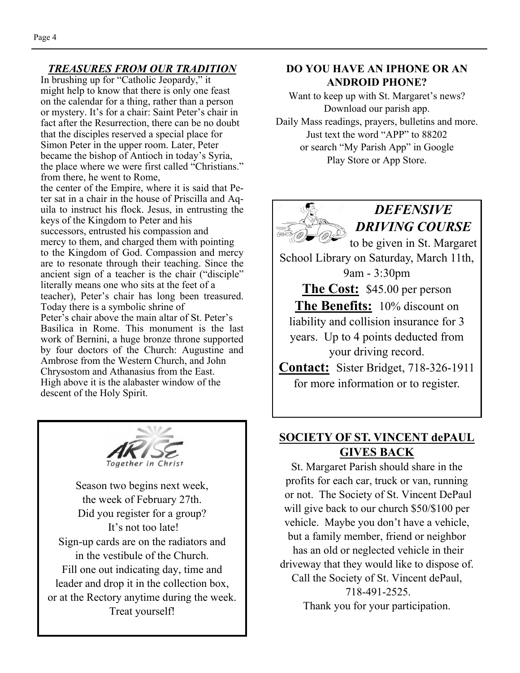#### *TREASURES FROM OUR TRADITION*

In brushing up for "Catholic Jeopardy," it might help to know that there is only one feast on the calendar for a thing, rather than a person or mystery. It's for a chair: Saint Peter's chair in fact after the Resurrection, there can be no doubt that the disciples reserved a special place for Simon Peter in the upper room. Later, Peter became the bishop of Antioch in today's Syria, the place where we were first called "Christians." from there, he went to Rome,

the center of the Empire, where it is said that Peter sat in a chair in the house of Priscilla and Aquila to instruct his flock. Jesus, in entrusting the keys of the Kingdom to Peter and his successors, entrusted his compassion and mercy to them, and charged them with pointing to the Kingdom of God. Compassion and mercy are to resonate through their teaching. Since the ancient sign of a teacher is the chair ("disciple" literally means one who sits at the feet of a teacher), Peter's chair has long been treasured. Today there is a symbolic shrine of Peter's chair above the main altar of St. Peter's Basilica in Rome. This monument is the last work of Bernini, a huge bronze throne supported by four doctors of the Church: Augustine and Ambrose from the Western Church, and John Chrysostom and Athanasius from the East. High above it is the alabaster window of the descent of the Holy Spirit.



Season two begins next week, the week of February 27th. Did you register for a group? It's not too late! Sign-up cards are on the radiators and in the vestibule of the Church. Fill one out indicating day, time and leader and drop it in the collection box, or at the Rectory anytime during the week. Treat yourself!

#### **DO YOU HAVE AN IPHONE OR AN ANDROID PHONE?**

Want to keep up with St. Margaret's news? Download our parish app. Daily Mass readings, prayers, bulletins and more. Just text the word "APP" to 88202 or search "My Parish App" in Google Play Store or App Store.



#### **SOCIETY OF ST. VINCENT dePAUL GIVES BACK**

St. Margaret Parish should share in the profits for each car, truck or van, running or not. The Society of St. Vincent DePaul will give back to our church \$50/\$100 per vehicle. Maybe you don't have a vehicle, but a family member, friend or neighbor has an old or neglected vehicle in their driveway that they would like to dispose of. Call the Society of St. Vincent dePaul, 718-491-2525. Thank you for your participation.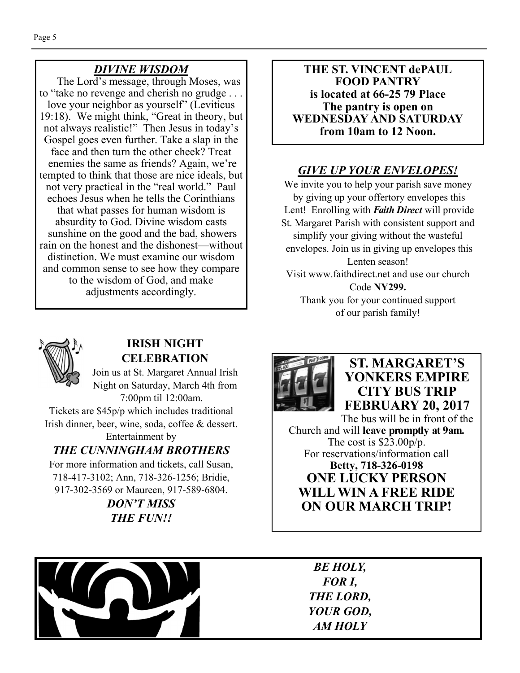## *DIVINE WISDOM*

The Lord's message, through Moses, was to "take no revenge and cherish no grudge . . . love your neighbor as yourself" (Leviticus 19:18). We might think, "Great in theory, but not always realistic!" Then Jesus in today's Gospel goes even further. Take a slap in the face and then turn the other cheek? Treat enemies the same as friends? Again, we're tempted to think that those are nice ideals, but not very practical in the "real world." Paul echoes Jesus when he tells the Corinthians that what passes for human wisdom is absurdity to God. Divine wisdom casts sunshine on the good and the bad, showers rain on the honest and the dishonest—without distinction. We must examine our wisdom and common sense to see how they compare to the wisdom of God, and make adjustments accordingly.

**THE ST. VINCENT dePAUL FOOD PANTRY is located at 66-25 79 Place The pantry is open on WEDNESDAY AND SATURDAY from 10am to 12 Noon.** 

## *GIVE UP YOUR ENVELOPES!*

We invite you to help your parish save money by giving up your offertory envelopes this Lent! Enrolling with *Faith Direct* will provide St. Margaret Parish with consistent support and simplify your giving without the wasteful envelopes. Join us in giving up envelopes this Lenten season! Visit www.faithdirect.net and use our church Code **NY299.**  Thank you for your continued support

of our parish family!



#### **IRISH NIGHT CELEBRATION**

Join us at St. Margaret Annual Irish Night on Saturday, March 4th from 7:00pm til 12:00am.

Tickets are \$45p/p which includes traditional Irish dinner, beer, wine, soda, coffee & dessert.

Entertainment by *THE CUNNINGHAM BROTHERS* 

For more information and tickets, call Susan, 718-417-3102; Ann, 718-326-1256; Bridie, 917-302-3569 or Maureen, 917-589-6804.

> *DON'T MISS THE FUN!!*



## **ST. MARGARET'S YONKERS EMPIRE CITY BUS TRIP FEBRUARY 20, 2017**

The bus will be in front of the Church and will **leave promptly at 9am.**  The cost is \$23.00p/p. For reservations/information call **Betty, 718-326-0198 ONE LUCKY PERSON WILL WIN A FREE RIDE ON OUR MARCH TRIP!** 



*BE HOLY, FOR I, THE LORD, YOUR GOD, AM HOLY*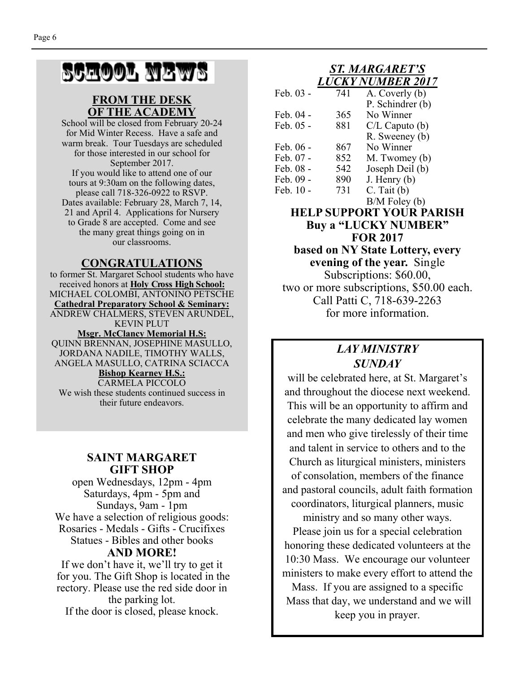## SCHOOL NEWS

#### **FROM THE DESK OF THE ACADEMY**

School will be closed from February 20-24 for Mid Winter Recess. Have a safe and warm break. Tour Tuesdays are scheduled for those interested in our school for September 2017. If you would like to attend one of our tours at 9:30am on the following dates, please call 718-326-0922 to RSVP. Dates available: February 28, March 7, 14, 21 and April 4. Applications for Nursery to Grade 8 are accepted. Come and see the many great things going on in our classrooms.

#### **CONGRATULATIONS**

to former St. Margaret School students who have received honors at **Holy Cross High School:**  MICHAEL COLOMBI, ANTONINO PETSCHE **Cathedral Preparatory School & Seminary:**  ANDREW CHALMERS, STEVEN ARUNDEL, KEVIN PLUT **Msgr. McClancy Memorial H.S:**  QUINN BRENNAN, JOSEPHINE MASULLO, JORDANA NADILE, TIMOTHY WALLS, ANGELA MASULLO, CATRINA SCIACCA **Bishop Kearney H.S.:**  CARMELA PICCOLO We wish these students continued success in their future endeavors.

#### **SAINT MARGARET GIFT SHOP**

open Wednesdays, 12pm - 4pm Saturdays, 4pm - 5pm and Sundays, 9am - 1pm We have a selection of religious goods: Rosaries - Medals - Gifts - Crucifixes Statues - Bibles and other books **AND MORE!** 

If we don't have it, we'll try to get it for you. The Gift Shop is located in the rectory. Please use the red side door in the parking lot. If the door is closed, please knock.

#### *ST. MARGARET'S LUCKY NUMBER 2017*

| Feb. 03 - | 741 | A. Coverly (b)     |
|-----------|-----|--------------------|
|           |     | P. Schindrer (b)   |
| Feb. 04 - | 365 | No Winner          |
| Feb. 05 - | 881 | $C/L$ Caputo $(b)$ |
|           |     | R. Sweeney (b)     |
| Feb. 06 - | 867 | No Winner          |
| Feb. 07 - | 852 | M. Twomey (b)      |
| Feb. 08 - | 542 | Joseph Deil (b)    |
| Feb. 09 - | 890 | $J.$ Henry $(b)$   |
| Feb. 10 - | 731 | $C.$ Tait $(b)$    |
|           |     | $B/M$ Foley $(b)$  |

**HELP SUPPORT YOUR PARISH Buy a "LUCKY NUMBER" FOR 2017 based on NY State Lottery, every evening of the year.** Single Subscriptions: \$60.00, two or more subscriptions, \$50.00 each. Call Patti C, 718-639-2263 for more information.

#### *LAY MINISTRY SUNDAY*

will be celebrated here, at St. Margaret's and throughout the diocese next weekend. This will be an opportunity to affirm and celebrate the many dedicated lay women and men who give tirelessly of their time and talent in service to others and to the Church as liturgical ministers, ministers of consolation, members of the finance and pastoral councils, adult faith formation coordinators, liturgical planners, music

ministry and so many other ways. Please join us for a special celebration honoring these dedicated volunteers at the 10:30 Mass. We encourage our volunteer ministers to make every effort to attend the Mass. If you are assigned to a specific

 Mass that day, we understand and we will keep you in prayer.